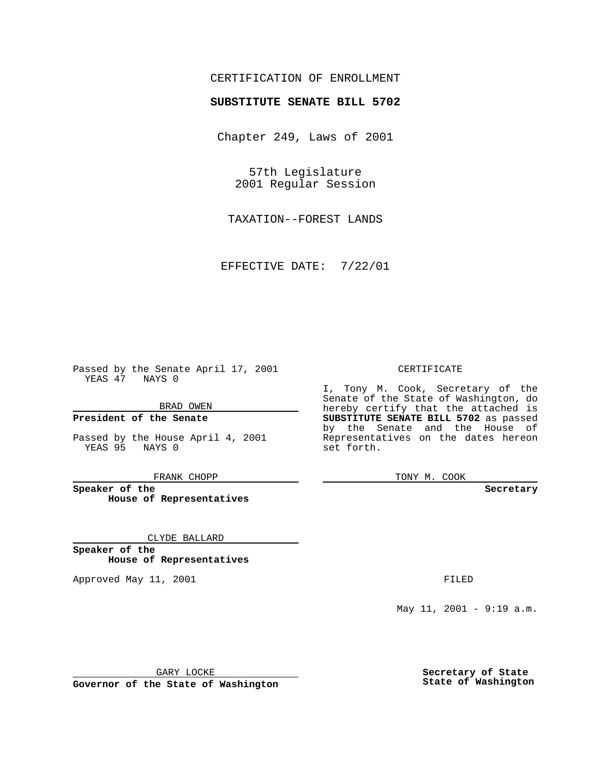## CERTIFICATION OF ENROLLMENT

# **SUBSTITUTE SENATE BILL 5702**

Chapter 249, Laws of 2001

57th Legislature 2001 Regular Session

TAXATION--FOREST LANDS

EFFECTIVE DATE: 7/22/01

Passed by the Senate April 17, 2001 YEAS 47 NAYS 0

BRAD OWEN

**President of the Senate**

Passed by the House April 4, 2001 YEAS 95 NAYS 0

FRANK CHOPP

**Speaker of the House of Representatives**

CLYDE BALLARD

**Speaker of the House of Representatives**

Approved May 11, 2001 **FILED** 

#### CERTIFICATE

I, Tony M. Cook, Secretary of the Senate of the State of Washington, do hereby certify that the attached is **SUBSTITUTE SENATE BILL 5702** as passed by the Senate and the House of Representatives on the dates hereon set forth.

TONY M. COOK

#### **Secretary**

May 11, 2001 - 9:19 a.m.

GARY LOCKE

**Governor of the State of Washington**

**Secretary of State State of Washington**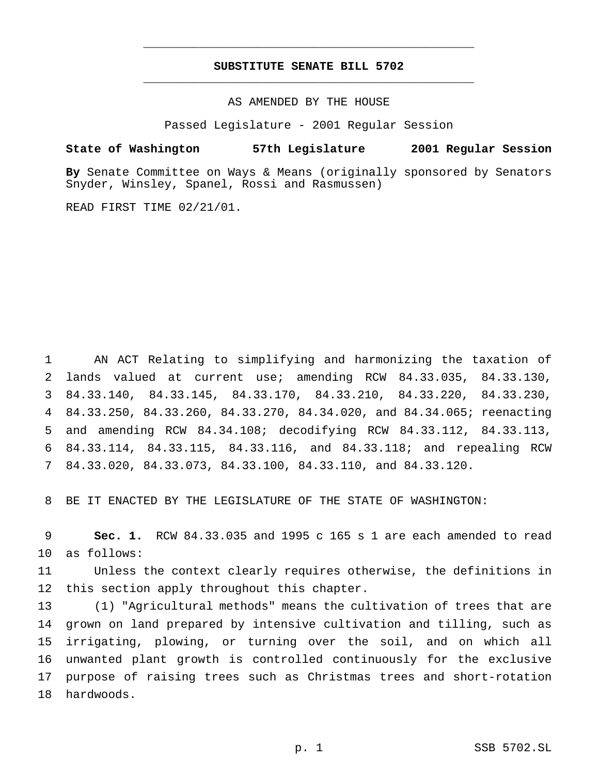## **SUBSTITUTE SENATE BILL 5702** \_\_\_\_\_\_\_\_\_\_\_\_\_\_\_\_\_\_\_\_\_\_\_\_\_\_\_\_\_\_\_\_\_\_\_\_\_\_\_\_\_\_\_\_\_\_\_

\_\_\_\_\_\_\_\_\_\_\_\_\_\_\_\_\_\_\_\_\_\_\_\_\_\_\_\_\_\_\_\_\_\_\_\_\_\_\_\_\_\_\_\_\_\_\_

### AS AMENDED BY THE HOUSE

Passed Legislature - 2001 Regular Session

#### **State of Washington 57th Legislature 2001 Regular Session**

**By** Senate Committee on Ways & Means (originally sponsored by Senators Snyder, Winsley, Spanel, Rossi and Rasmussen)

READ FIRST TIME 02/21/01.

 AN ACT Relating to simplifying and harmonizing the taxation of lands valued at current use; amending RCW 84.33.035, 84.33.130, 84.33.140, 84.33.145, 84.33.170, 84.33.210, 84.33.220, 84.33.230, 84.33.250, 84.33.260, 84.33.270, 84.34.020, and 84.34.065; reenacting and amending RCW 84.34.108; decodifying RCW 84.33.112, 84.33.113, 84.33.114, 84.33.115, 84.33.116, and 84.33.118; and repealing RCW 84.33.020, 84.33.073, 84.33.100, 84.33.110, and 84.33.120.

BE IT ENACTED BY THE LEGISLATURE OF THE STATE OF WASHINGTON:

 **Sec. 1.** RCW 84.33.035 and 1995 c 165 s 1 are each amended to read as follows:

 Unless the context clearly requires otherwise, the definitions in this section apply throughout this chapter.

 (1) "Agricultural methods" means the cultivation of trees that are grown on land prepared by intensive cultivation and tilling, such as irrigating, plowing, or turning over the soil, and on which all unwanted plant growth is controlled continuously for the exclusive purpose of raising trees such as Christmas trees and short-rotation hardwoods.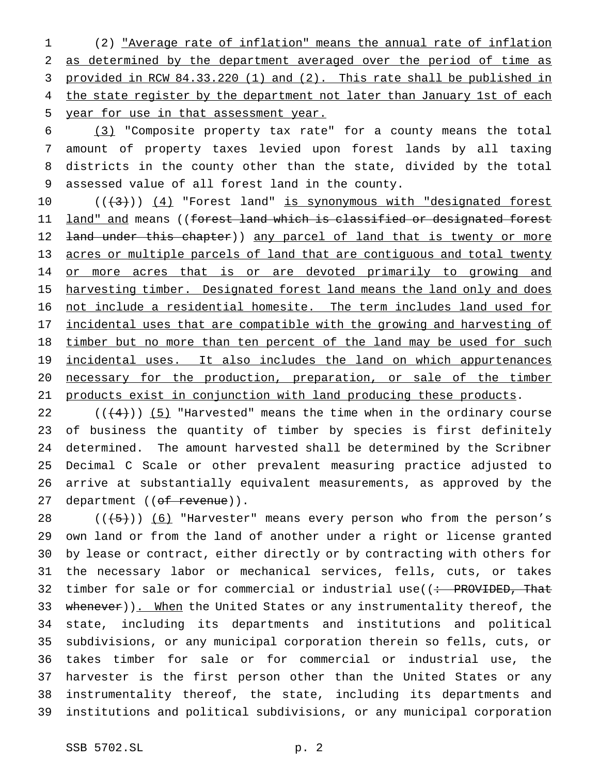(2) "Average rate of inflation" means the annual rate of inflation as determined by the department averaged over the period of time as provided in RCW 84.33.220 (1) and (2). This rate shall be published in 4 the state register by the department not later than January 1st of each year for use in that assessment year.

 (3) "Composite property tax rate" for a county means the total amount of property taxes levied upon forest lands by all taxing districts in the county other than the state, divided by the total assessed value of all forest land in the county.

10 ((+3))) (4) "Forest land" is synonymous with "designated forest 11 <u>land" and</u> means ((<del>forest land which is classified or designated forest</del> 12 <del>land under this chapter</del>)) any parcel of land that is twenty or more 13 acres or multiple parcels of land that are contiguous and total twenty 14 or more acres that is or are devoted primarily to growing and 15 harvesting timber. Designated forest land means the land only and does 16 not include a residential homesite. The term includes land used for 17 <u>incidental uses that are compatible with the growing and harvesting of</u> 18 timber but no more than ten percent of the land may be used for such 19 incidental uses. It also includes the land on which appurtenances 20 necessary for the production, preparation, or sale of the timber 21 products exist in conjunction with land producing these products.

 $((+4))$  (5) "Harvested" means the time when in the ordinary course of business the quantity of timber by species is first definitely determined. The amount harvested shall be determined by the Scribner Decimal C Scale or other prevalent measuring practice adjusted to arrive at substantially equivalent measurements, as approved by the 27 department ((of revenue)).

 $((+5))$   $(6)$  "Harvester" means every person who from the person's own land or from the land of another under a right or license granted by lease or contract, either directly or by contracting with others for the necessary labor or mechanical services, fells, cuts, or takes 32 timber for sale or for commercial or industrial use( $\left( \div \text{ PROVIDED}, \text{That} \right)$ 33 whenever)). When the United States or any instrumentality thereof, the state, including its departments and institutions and political subdivisions, or any municipal corporation therein so fells, cuts, or takes timber for sale or for commercial or industrial use, the harvester is the first person other than the United States or any instrumentality thereof, the state, including its departments and institutions and political subdivisions, or any municipal corporation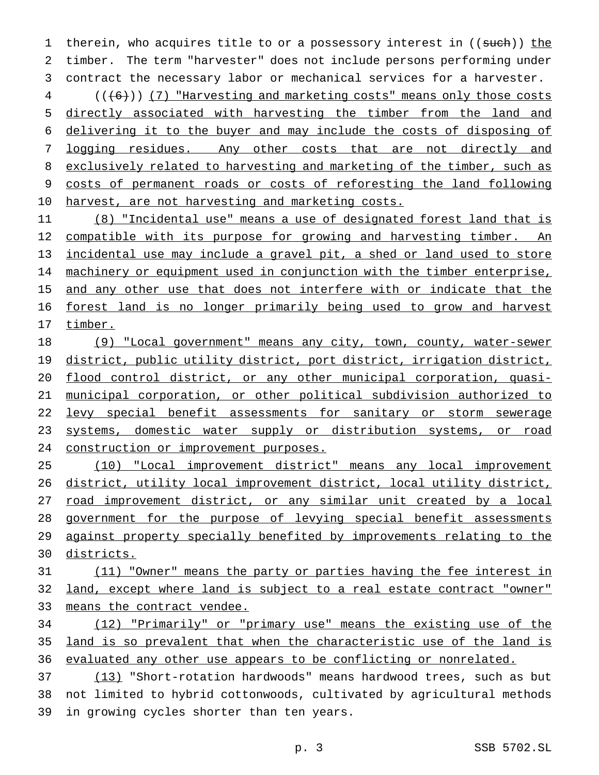1 therein, who acquires title to or a possessory interest in ((such)) the timber. The term "harvester" does not include persons performing under contract the necessary labor or mechanical services for a harvester.

4 (((6))) (7) "Harvesting and marketing costs" means only those costs directly associated with harvesting the timber from the land and delivering it to the buyer and may include the costs of disposing of 7 logging residues. Any other costs that are not directly and 8 exclusively related to harvesting and marketing of the timber, such as costs of permanent roads or costs of reforesting the land following harvest, are not harvesting and marketing costs.

 (8) "Incidental use" means a use of designated forest land that is 12 compatible with its purpose for growing and harvesting timber. An incidental use may include a gravel pit, a shed or land used to store 14 machinery or equipment used in conjunction with the timber enterprise, 15 and any other use that does not interfere with or indicate that the forest land is no longer primarily being used to grow and harvest 17 timber.

 (9) "Local government" means any city, town, county, water-sewer district, public utility district, port district, irrigation district, flood control district, or any other municipal corporation, quasi- municipal corporation, or other political subdivision authorized to 22 levy special benefit assessments for sanitary or storm sewerage systems, domestic water supply or distribution systems, or road construction or improvement purposes.

 (10) "Local improvement district" means any local improvement district, utility local improvement district, local utility district, 27 road improvement district, or any similar unit created by a local government for the purpose of levying special benefit assessments against property specially benefited by improvements relating to the districts.

 (11) "Owner" means the party or parties having the fee interest in land, except where land is subject to a real estate contract "owner" means the contract vendee.

 (12) "Primarily" or "primary use" means the existing use of the land is so prevalent that when the characteristic use of the land is evaluated any other use appears to be conflicting or nonrelated.

 (13) "Short-rotation hardwoods" means hardwood trees, such as but not limited to hybrid cottonwoods, cultivated by agricultural methods in growing cycles shorter than ten years.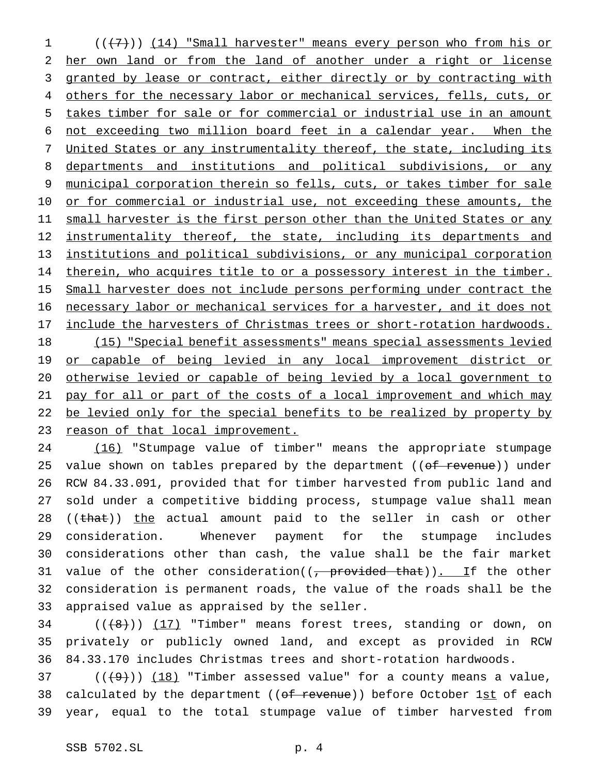1 (((7)) (14) "Small harvester" means every person who from his or 2 her own land or from the land of another under a right or license 3 granted by lease or contract, either directly or by contracting with 4 others for the necessary labor or mechanical services, fells, cuts, or 5 takes timber for sale or for commercial or industrial use in an amount 6 not exceeding two million board feet in a calendar year. When the 7 United States or any instrumentality thereof, the state, including its 8 departments and institutions and political subdivisions, or any 9 municipal corporation therein so fells, cuts, or takes timber for sale 10 or for commercial or industrial use, not exceeding these amounts, the 11 small harvester is the first person other than the United States or any 12 instrumentality thereof, the state, including its departments and 13 institutions and political subdivisions, or any municipal corporation 14 therein, who acquires title to or a possessory interest in the timber. 15 Small harvester does not include persons performing under contract the 16 necessary labor or mechanical services for a harvester, and it does not 17 include the harvesters of Christmas trees or short-rotation hardwoods. 18 (15) "Special benefit assessments" means special assessments levied 19 or capable of being levied in any local improvement district or 20 otherwise levied or capable of being levied by a local government to 21 pay for all or part of the costs of a local improvement and which may 22 be levied only for the special benefits to be realized by property by 23 reason of that local improvement.

 (16) "Stumpage value of timber" means the appropriate stumpage 25 value shown on tables prepared by the department ((of revenue)) under RCW 84.33.091, provided that for timber harvested from public land and sold under a competitive bidding process, stumpage value shall mean 28 ((that)) the actual amount paid to the seller in cash or other consideration. Whenever payment for the stumpage includes considerations other than cash, the value shall be the fair market 31 value of the other consideration( $(-$  provided that)). If the other consideration is permanent roads, the value of the roads shall be the appraised value as appraised by the seller.

 $34$  (( $\left(\frac{18}{1}\right)$ ) (17) "Timber" means forest trees, standing or down, on 35 privately or publicly owned land, and except as provided in RCW 36 84.33.170 includes Christmas trees and short-rotation hardwoods.

37 ( $(\frac{49}{})$ ) (18) "Timber assessed value" for a county means a value, 38 calculated by the department ((of revenue)) before October 1st of each 39 year, equal to the total stumpage value of timber harvested from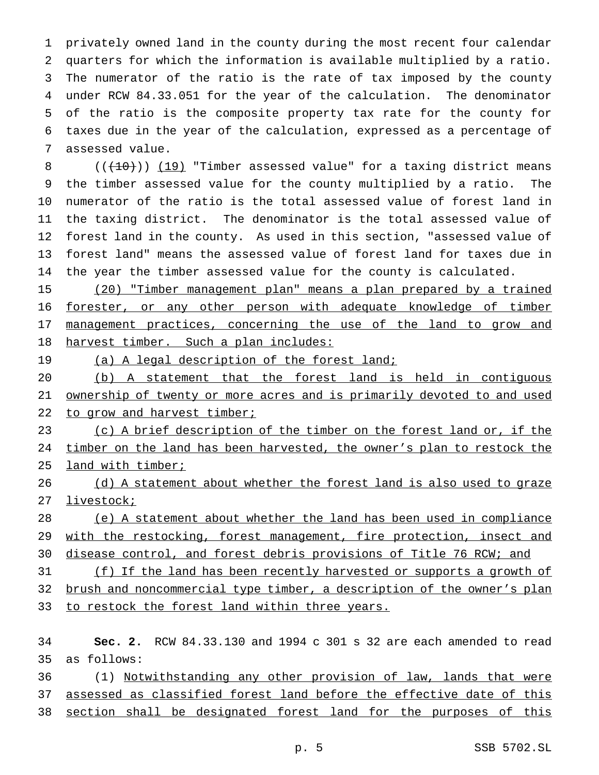privately owned land in the county during the most recent four calendar quarters for which the information is available multiplied by a ratio. The numerator of the ratio is the rate of tax imposed by the county under RCW 84.33.051 for the year of the calculation. The denominator of the ratio is the composite property tax rate for the county for taxes due in the year of the calculation, expressed as a percentage of assessed value.

 $((+10))$   $(19)$  "Timber assessed value" for a taxing district means the timber assessed value for the county multiplied by a ratio. The numerator of the ratio is the total assessed value of forest land in the taxing district. The denominator is the total assessed value of forest land in the county. As used in this section, "assessed value of forest land" means the assessed value of forest land for taxes due in the year the timber assessed value for the county is calculated.

 (20) "Timber management plan" means a plan prepared by a trained forester, or any other person with adequate knowledge of timber 17 management practices, concerning the use of the land to grow and harvest timber. Such a plan includes:

19 (a) A legal description of the forest land;

 (b) A statement that the forest land is held in contiguous ownership of twenty or more acres and is primarily devoted to and used 22 to grow and harvest timber;

23 (c) A brief description of the timber on the forest land or, if the timber on the land has been harvested, the owner's plan to restock the 25 land with timber;

26 (d) A statement about whether the forest land is also used to graze 27 livestock;

 (e) A statement about whether the land has been used in compliance 29 with the restocking, forest management, fire protection, insect and

30 disease control, and forest debris provisions of Title 76 RCW; and

 (f) If the land has been recently harvested or supports a growth of brush and noncommercial type timber, a description of the owner's plan 33 to restock the forest land within three years.

 **Sec. 2.** RCW 84.33.130 and 1994 c 301 s 32 are each amended to read as follows:

 (1) Notwithstanding any other provision of law, lands that were assessed as classified forest land before the effective date of this 38 section shall be designated forest land for the purposes of this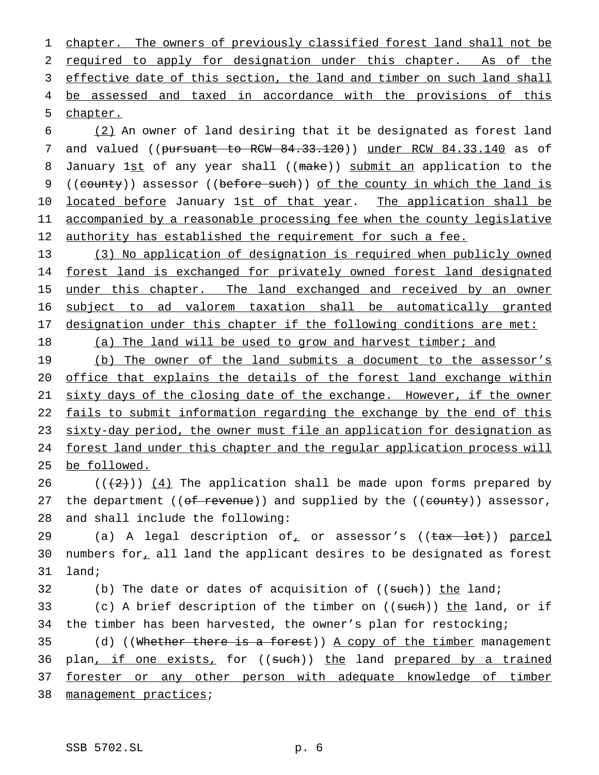1 chapter. The owners of previously classified forest land shall not be 2 required to apply for designation under this chapter. As of the 3 effective date of this section, the land and timber on such land shall 4 be assessed and taxed in accordance with the provisions of this 5 chapter.

6 (2) An owner of land desiring that it be designated as forest land 7 and valued ((pursuant to RCW 84.33.120)) under RCW 84.33.140 as of 8 January 1st of any year shall ((make)) submit an application to the 9 ((county)) assessor ((before such)) of the county in which the land is 10 located before January 1st of that year. The application shall be 11 accompanied by a reasonable processing fee when the county legislative 12 authority has established the requirement for such a fee.

 (3) No application of designation is required when publicly owned forest land is exchanged for privately owned forest land designated 15 under this chapter. The land exchanged and received by an owner subject to ad valorem taxation shall be automatically granted designation under this chapter if the following conditions are met:

18 (a) The land will be used to grow and harvest timber; and

19 (b) The owner of the land submits a document to the assessor's 20 office that explains the details of the forest land exchange within 21 sixty days of the closing date of the exchange. However, if the owner 22 fails to submit information regarding the exchange by the end of this 23 sixty-day period, the owner must file an application for designation as 24 forest land under this chapter and the regular application process will 25 be followed.

26  $((+2))$   $(4)$  The application shall be made upon forms prepared by 27 the department (( $of$  revenue)) and supplied by the (( $count$ y)) assessor, 28 and shall include the following:

29 (a) A legal description of or assessor's ((tax lot)) parcel 30 numbers for, all land the applicant desires to be designated as forest 31 land;

32 (b) The date or dates of acquisition of  $((\text{such}) )$  the land;

33 (c) A brief description of the timber on ((such)) the land, or if 34 the timber has been harvested, the owner's plan for restocking;

35 (d) ((Whether there is a forest)) A copy of the timber management 36 plan<u>, if one exists,</u> for ((such)) the land prepared by a trained 37 forester or any other person with adequate knowledge of timber 38 management practices;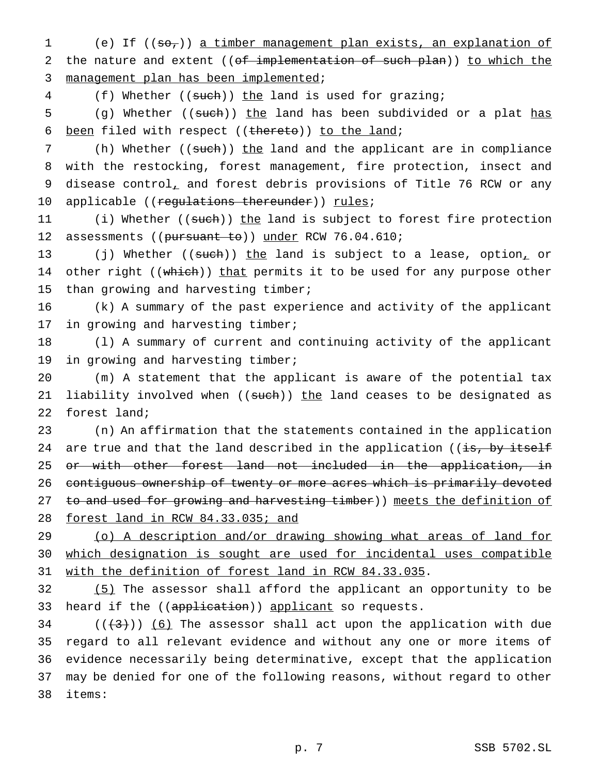1 (e) If ((so,)) a timber management plan exists, an explanation of 2 the nature and extent ((of implementation of such plan)) to which the 3 management plan has been implemented;

4 (f) Whether ((such)) the land is used for grazing;

5 (g) Whether ((such)) the land has been subdivided or a plat has 6 been filed with respect ((thereto)) to the land;

7 (h) Whether ((such)) the land and the applicant are in compliance 8 with the restocking, forest management, fire protection, insect and 9 disease control, and forest debris provisions of Title 76 RCW or any 10 applicable ((regulations thereunder)) rules;

11 (i) Whether ((such)) the land is subject to forest fire protection 12 assessments ((pursuant to)) under RCW 76.04.610;

13 (j) Whether ((such)) the land is subject to a lease, option, or 14 other right ((which)) that permits it to be used for any purpose other 15 than growing and harvesting timber;

16 (k) A summary of the past experience and activity of the applicant 17 in growing and harvesting timber;

18 (l) A summary of current and continuing activity of the applicant 19 in growing and harvesting timber;

20 (m) A statement that the applicant is aware of the potential tax 21 liability involved when ((such)) the land ceases to be designated as 22 forest land;

23 (n) An affirmation that the statements contained in the application 24 are true and that the land described in the application ((is, by itself 25 <del>or with other forest land not included in the application, in</del> 26 contiguous ownership of twenty or more acres which is primarily devoted 27 to and used for growing and harvesting timber)) meets the definition of 28 forest land in RCW 84.33.035; and

29 (o) A description and/or drawing showing what areas of land for 30 which designation is sought are used for incidental uses compatible 31 with the definition of forest land in RCW 84.33.035.

32 (5) The assessor shall afford the applicant an opportunity to be 33 heard if the ((application)) applicant so requests.

 ( $(\frac{+3}{})$ ) (6) The assessor shall act upon the application with due regard to all relevant evidence and without any one or more items of evidence necessarily being determinative, except that the application may be denied for one of the following reasons, without regard to other 38 items: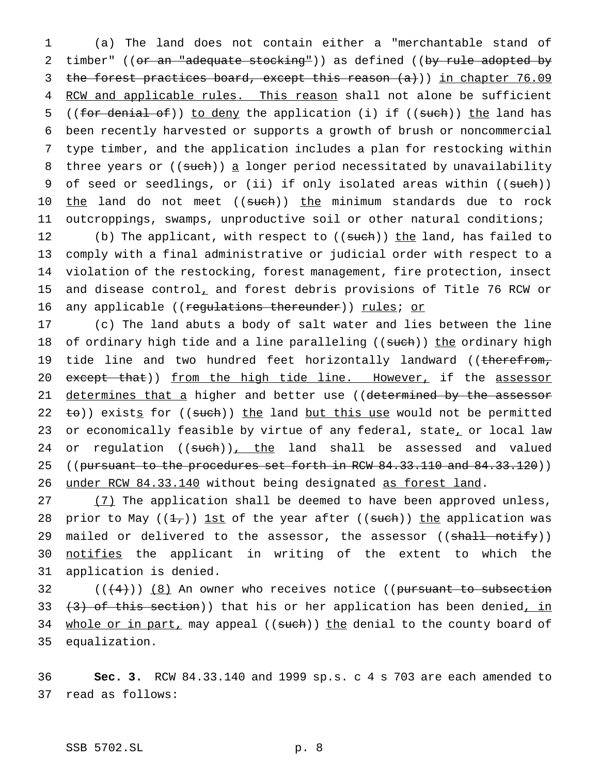1 (a) The land does not contain either a "merchantable stand of 2 timber" ((or an "adequate stocking")) as defined ((by rule adopted by 3 the forest practices board, except this reason  $(a+)$ ) in chapter 76.09 4 RCW and applicable rules. This reason shall not alone be sufficient 5 ((for denial of)) to deny the application (i) if ((such)) the land has 6 been recently harvested or supports a growth of brush or noncommercial 7 type timber, and the application includes a plan for restocking within 8 three years or ((such)) a longer period necessitated by unavailability 9 of seed or seedlings, or (ii) if only isolated areas within ((such)) 10 the land do not meet ((such)) the minimum standards due to rock 11 outcroppings, swamps, unproductive soil or other natural conditions;

12 (b) The applicant, with respect to ((such)) the land, has failed to 13 comply with a final administrative or judicial order with respect to a 14 violation of the restocking, forest management, fire protection, insect 15 and disease control, and forest debris provisions of Title 76 RCW or 16 any applicable ((regulations thereunder)) rules; or

17 (c) The land abuts a body of salt water and lies between the line 18 of ordinary high tide and a line paralleling ((such)) the ordinary high 19 tide line and two hundred feet horizontally landward ((therefrom, 20 except that)) from the high tide line. However, if the assessor 21 determines that a higher and better use ((determined by the assessor 22  $\pm$ o)) exists for ((such)) the land but this use would not be permitted 23 or economically feasible by virtue of any federal, state, or local law 24 or regulation ((such)), the land shall be assessed and valued 25 ((pursuant to the procedures set forth in RCW 84.33.110 and 84.33.120)) 26 under RCW 84.33.140 without being designated as forest land.

27 (7) The application shall be deemed to have been approved unless, 28 prior to May ( $(\frac{1}{1})$ ) 1st of the year after ((such)) the application was 29 mailed or delivered to the assessor, the assessor ((shall notify)) 30 notifies the applicant in writing of the extent to which the 31 application is denied.

 $((+4))$   $(8)$  An owner who receives notice ((pursuant to subsection  $(3)$  of this section)) that his or her application has been denied, in 34 whole or in part, may appeal ((such)) the denial to the county board of equalization.

36 **Sec. 3.** RCW 84.33.140 and 1999 sp.s. c 4 s 703 are each amended to 37 read as follows: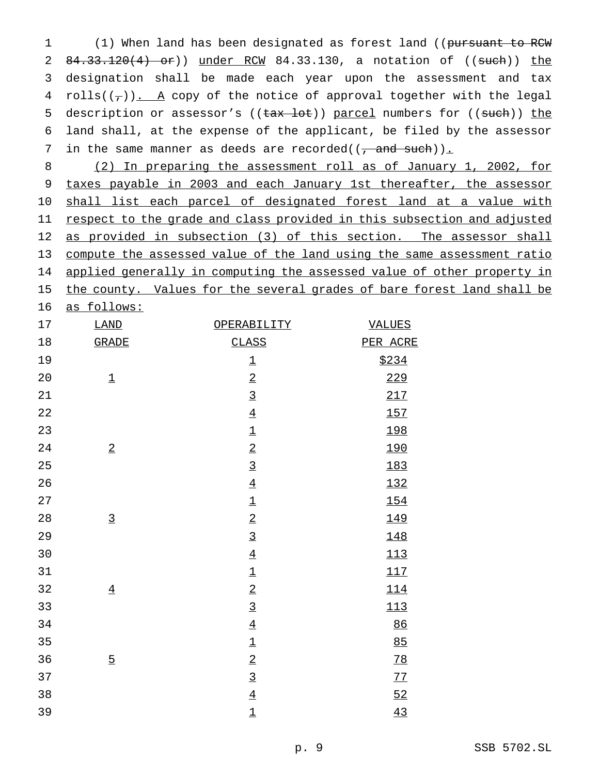1 (1) When land has been designated as forest land ((pursuant to RCW) 2 84.33.120(4) or)) under RCM 84.33.130, a notation of ((such)) the designation shall be made each year upon the assessment and tax 4 rolls( $(\tau)$ ). A copy of the notice of approval together with the legal 5 description or assessor's ((tax lot)) parcel numbers for ((such)) the land shall, at the expense of the applicant, be filed by the assessor 7 in the same manner as deeds are recorded( $(\frac{1}{2}$  and such)).

 (2) In preparing the assessment roll as of January 1, 2002, for taxes payable in 2003 and each January 1st thereafter, the assessor shall list each parcel of designated forest land at a value with 11 respect to the grade and class provided in this subsection and adjusted 12 as provided in subsection (3) of this section. The assessor shall compute the assessed value of the land using the same assessment ratio 14 applied generally in computing the assessed value of other property in 15 the county. Values for the several grades of bare forest land shall be

as follows:

| 17          | $\underline{\texttt{LAND}}$ | OPERABILITY               | <b>VALUES</b>    |
|-------------|-----------------------------|---------------------------|------------------|
| 18          | <b>GRADE</b>                | <b>CLASS</b>              | PER ACRE         |
| 19          |                             | $\underline{\mathbbm{1}}$ | \$234            |
| $20\,$      | $\underline{\mathbbm{1}}$   | $\overline{2}$            | 229              |
| 21          |                             | $\overline{3}$            | 217              |
| 22          |                             | $\underline{4}$           | 157              |
| 23          |                             | $\underline{\mathbbm{1}}$ | 198              |
| 24          | $\overline{2}$              | $\overline{2}$            | 190              |
| 25          |                             | $\overline{3}$            | 183              |
| 26          |                             | $\underline{4}$           | 132              |
| 27          |                             | $\underline{\mathbbm{1}}$ | 154              |
| $2\sqrt{8}$ | $\overline{3}$              | $\overline{2}$            | 149              |
| 29          |                             | $\overline{3}$            | 148              |
| $30$        |                             | $\underline{4}$           | 113              |
| $31$        |                             | $\underline{\mathbbm{1}}$ | 117              |
| 32          | $\underline{4}$             | $\underline{2}$           | 114              |
| 33          |                             | $\overline{3}$            | 113              |
| 34          |                             | $\underline{4}$           | $\underline{86}$ |
| 35          |                             | $\underline{\mathbbm{1}}$ | 85               |
| 36          | $\overline{5}$              | $\underline{2}$           | 78               |
| 37          |                             | $\overline{3}$            | 77               |
| 38          |                             | $\underline{4}$           | 52               |
| 39          |                             | $\underline{\mathbbm{1}}$ | 43               |
|             |                             |                           |                  |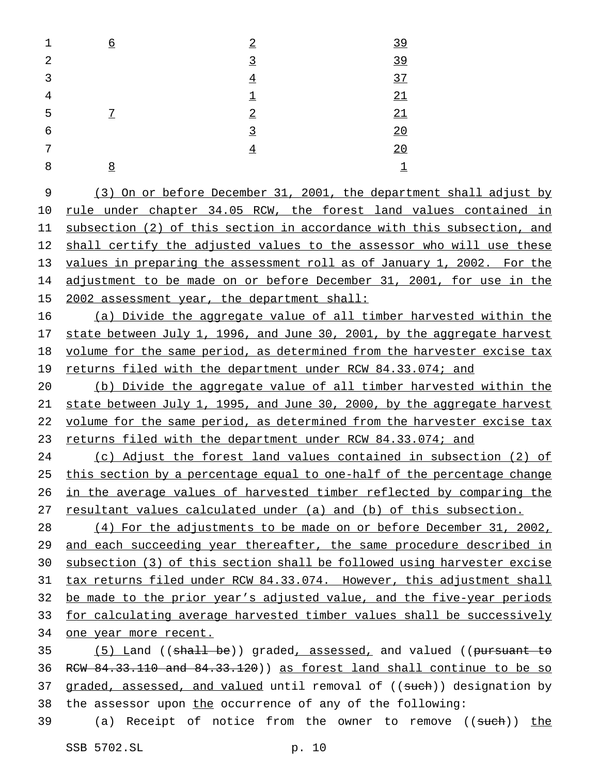| 1 | <u>б</u>       | $\overline{2}$     | 39                 |
|---|----------------|--------------------|--------------------|
| 2 |                | $\overline{3}$     | 39                 |
| 3 |                | $\underline{4}$    | 37                 |
| 4 |                | $\overline{\perp}$ | 21                 |
| 5 | $\overline{1}$ | $\overline{2}$     | 21                 |
| 6 |                | $\overline{3}$     | 20                 |
| 7 |                | $\overline{4}$     | 20                 |
| 8 | 8              |                    | $\overline{\perp}$ |
|   |                |                    |                    |

 (3) On or before December 31, 2001, the department shall adjust by rule under chapter 34.05 RCW, the forest land values contained in subsection (2) of this section in accordance with this subsection, and 12 shall certify the adjusted values to the assessor who will use these 13 values in preparing the assessment roll as of January 1, 2002. For the 14 adjustment to be made on or before December 31, 2001, for use in the 2002 assessment year, the department shall:

 (a) Divide the aggregate value of all timber harvested within the 17 state between July 1, 1996, and June 30, 2001, by the aggregate harvest volume for the same period, as determined from the harvester excise tax 19 returns filed with the department under RCW 84.33.074; and

 (b) Divide the aggregate value of all timber harvested within the state between July 1, 1995, and June 30, 2000, by the aggregate harvest volume for the same period, as determined from the harvester excise tax 23 returns filed with the department under RCW 84.33.074; and

 (c) Adjust the forest land values contained in subsection (2) of this section by a percentage equal to one-half of the percentage change in the average values of harvested timber reflected by comparing the 27 resultant values calculated under (a) and (b) of this subsection.

 (4) For the adjustments to be made on or before December 31, 2002, and each succeeding year thereafter, the same procedure described in subsection (3) of this section shall be followed using harvester excise tax returns filed under RCW 84.33.074. However, this adjustment shall be made to the prior year's adjusted value, and the five-year periods for calculating average harvested timber values shall be successively one year more recent.

35 (5) Land ((shall be)) graded, assessed, and valued ((pursuant to 36 RCW  $84.33.110$  and  $84.33.120$ ) as forest land shall continue to be so 37 graded, assessed, and valued until removal of ((such)) designation by 38 the assessor upon the occurrence of any of the following:

39 (a) Receipt of notice from the owner to remove ((such)) the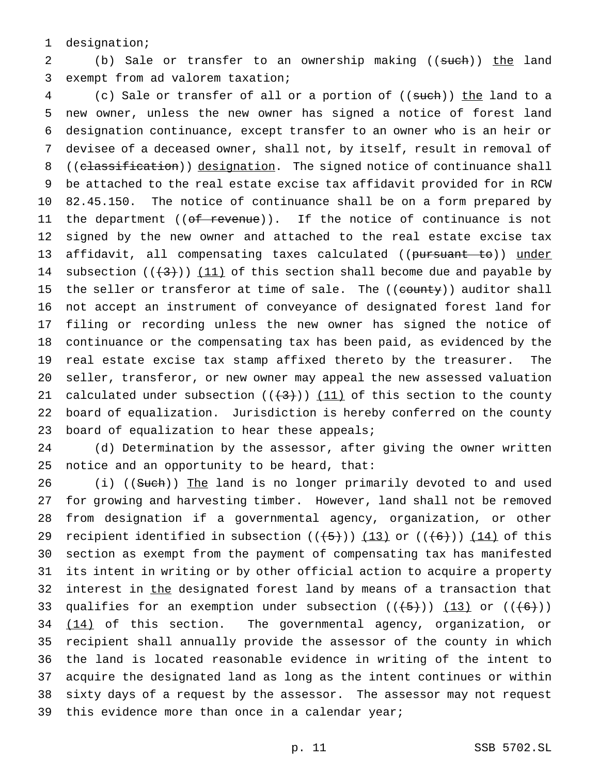designation;

2 (b) Sale or transfer to an ownership making ((such)) the land exempt from ad valorem taxation;

4 (c) Sale or transfer of all or a portion of ((such)) the land to a new owner, unless the new owner has signed a notice of forest land designation continuance, except transfer to an owner who is an heir or devisee of a deceased owner, shall not, by itself, result in removal of 8 ((classification)) designation. The signed notice of continuance shall be attached to the real estate excise tax affidavit provided for in RCW 82.45.150. The notice of continuance shall be on a form prepared by 11 the department ((<del>of revenue</del>)). If the notice of continuance is not signed by the new owner and attached to the real estate excise tax 13 affidavit, all compensating taxes calculated ((pursuant to)) under 14 subsection  $((+3))$  (11) of this section shall become due and payable by 15 the seller or transferor at time of sale. The ((county)) auditor shall not accept an instrument of conveyance of designated forest land for filing or recording unless the new owner has signed the notice of continuance or the compensating tax has been paid, as evidenced by the real estate excise tax stamp affixed thereto by the treasurer. The seller, transferor, or new owner may appeal the new assessed valuation 21 calculated under subsection  $((+3))$   $(11)$  of this section to the county board of equalization. Jurisdiction is hereby conferred on the county 23 board of equalization to hear these appeals;

 (d) Determination by the assessor, after giving the owner written notice and an opportunity to be heard, that:

26 (i) ((Such)) The land is no longer primarily devoted to and used for growing and harvesting timber. However, land shall not be removed from designation if a governmental agency, organization, or other 29 recipient identified in subsection  $((+5))$   $(13)$  or  $((+6))$   $(14)$  of this section as exempt from the payment of compensating tax has manifested its intent in writing or by other official action to acquire a property 32 interest in the designated forest land by means of a transaction that 33 qualifies for an exemption under subsection  $((+5))$   $(13)$  or  $((+6))$   $(14)$  of this section. The governmental agency, organization, or recipient shall annually provide the assessor of the county in which the land is located reasonable evidence in writing of the intent to acquire the designated land as long as the intent continues or within sixty days of a request by the assessor. The assessor may not request 39 this evidence more than once in a calendar year;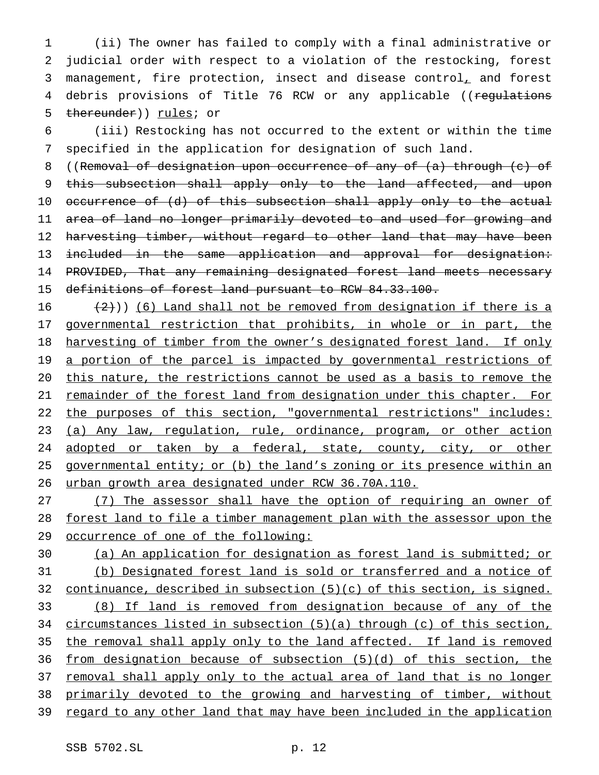1 (ii) The owner has failed to comply with a final administrative or 2 judicial order with respect to a violation of the restocking, forest 3 management, fire protection, insect and disease control, and forest 4 debris provisions of Title 76 RCW or any applicable ((regulations 5 thereunder)) rules; or

6 (iii) Restocking has not occurred to the extent or within the time 7 specified in the application for designation of such land.

8 ((Removal of designation upon occurrence of any of (a) through (c) of 9 this subsection shall apply only to the land affected, and upon 10 occurrence of (d) of this subsection shall apply only to the actual 11 area of land no longer primarily devoted to and used for growing and 12 harvesting timber, without regard to other land that may have been 13 included in the same application and approval for designation: 14 PROVIDED, That any remaining designated forest land meets necessary 15 definitions of forest land pursuant to RCW 84.33.100.

16  $(2)$ )) (6) Land shall not be removed from designation if there is a 17 governmental restriction that prohibits, in whole or in part, the 18 harvesting of timber from the owner's designated forest land. If only 19 a portion of the parcel is impacted by governmental restrictions of 20 this nature, the restrictions cannot be used as a basis to remove the 21 remainder of the forest land from designation under this chapter. For 22 the purposes of this section, "governmental restrictions" includes: 23 (a) Any law, regulation, rule, ordinance, program, or other action 24 adopted or taken by a federal, state, county, city, or other 25 governmental entity; or (b) the land's zoning or its presence within an 26 urban growth area designated under RCW 36.70A.110.

27 (7) The assessor shall have the option of requiring an owner of 28 forest land to file a timber management plan with the assessor upon the 29 occurrence of one of the following:

 (a) An application for designation as forest land is submitted; or (b) Designated forest land is sold or transferred and a notice of continuance, described in subsection (5)(c) of this section, is signed. (8) If land is removed from designation because of any of the circumstances listed in subsection (5)(a) through (c) of this section, the removal shall apply only to the land affected. If land is removed from designation because of subsection (5)(d) of this section, the 37 removal shall apply only to the actual area of land that is no longer primarily devoted to the growing and harvesting of timber, without 39 regard to any other land that may have been included in the application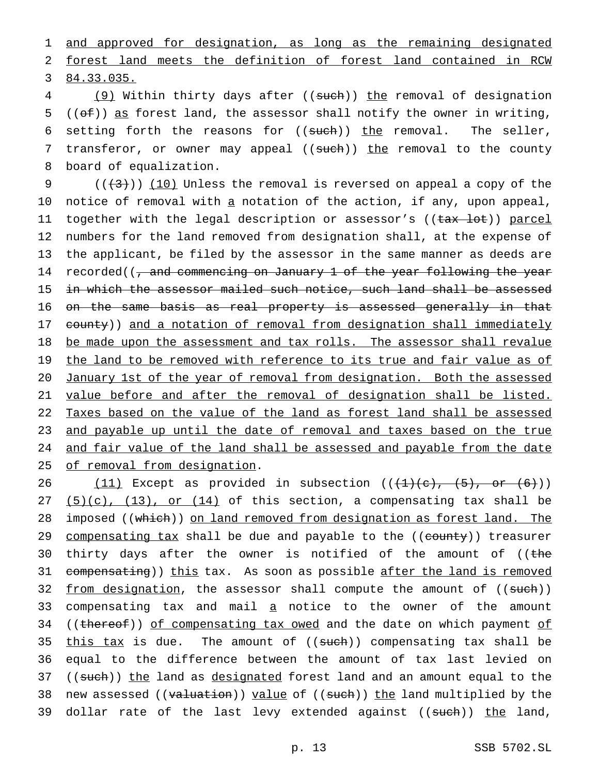1 and approved for designation, as long as the remaining designated 2 forest land meets the definition of forest land contained in RCW 3 84.33.035.

4 (9) Within thirty days after ((such)) the removal of designation 5 (( $\Theta$ )) as forest land, the assessor shall notify the owner in writing, 6 setting forth the reasons for  $((such))$  the removal. The seller, 7 transferor, or owner may appeal ((such)) the removal to the county 8 board of equalization.

9  $((+3+))$  (10) Unless the removal is reversed on appeal a copy of the 10 notice of removal with a notation of the action, if any, upon appeal, 11 together with the legal description or assessor's ((tax lot)) parcel 12 numbers for the land removed from designation shall, at the expense of 13 the applicant, be filed by the assessor in the same manner as deeds are 14 recorded((, and commencing on January 1 of the year following the year 15 in which the assessor mailed such notice, such land shall be assessed 16 on the same basis as real property is assessed generally in that 17 county)) and a notation of removal from designation shall immediately 18 be made upon the assessment and tax rolls. The assessor shall revalue 19 the land to be removed with reference to its true and fair value as of 20 January 1st of the year of removal from designation. Both the assessed 21 value before and after the removal of designation shall be listed. 22 Taxes based on the value of the land as forest land shall be assessed 23 and payable up until the date of removal and taxes based on the true 24 and fair value of the land shall be assessed and payable from the date 25 of removal from designation.

26  $(11)$  Except as provided in subsection  $((+1)(e), (5), or (6))$ 27  $(5)(c)$ ,  $(13)$ , or  $(14)$  of this section, a compensating tax shall be 28 imposed ((which)) on land removed from designation as forest land. The 29 compensating tax shall be due and payable to the ((county)) treasurer 30 thirty days after the owner is notified of the amount of  $($  (the 31 compensating)) this tax. As soon as possible after the land is removed 32 <u>from designation</u>, the assessor shall compute the amount of ((<del>such</del>)) 33 compensating tax and mail a notice to the owner of the amount 34 ((thereof)) of compensating tax owed and the date on which payment of 35 this tax is due. The amount of  $((such))$  compensating tax shall be 36 equal to the difference between the amount of tax last levied on 37 ((such)) the land as designated forest land and an amount equal to the 38 new assessed ((valuation)) value of ((such)) the land multiplied by the 39 dollar rate of the last levy extended against ((such)) the land,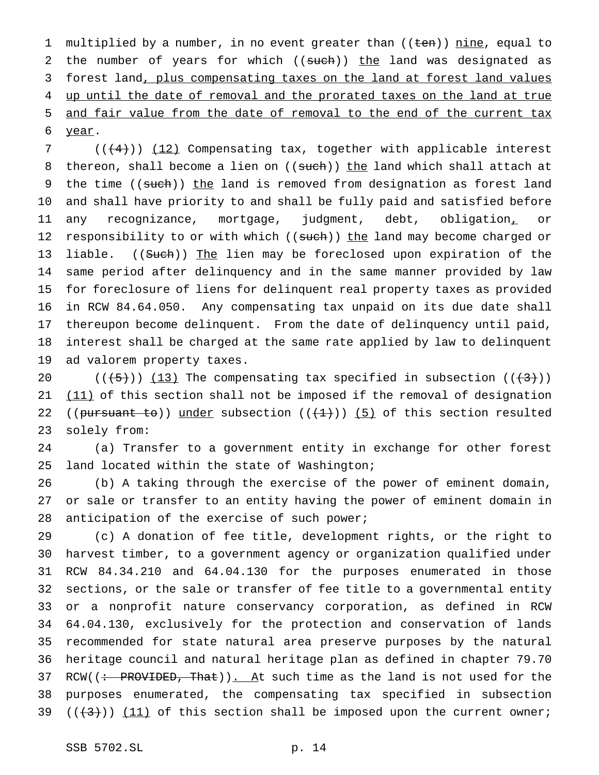1 multiplied by a number, in no event greater than ((ten)) nine, equal to 2 the number of years for which ((such)) the land was designated as forest land, plus compensating taxes on the land at forest land values 4 up until the date of removal and the prorated taxes on the land at true and fair value from the date of removal to the end of the current tax year.

7 (((4))) (12) Compensating tax, together with applicable interest 8 thereon, shall become a lien on ((such)) the land which shall attach at 9 the time ((such)) the land is removed from designation as forest land and shall have priority to and shall be fully paid and satisfied before any recognizance, mortgage, judgment, debt, obligation, or 12 responsibility to or with which ((such)) the land may become charged or 13 liable. ((Such)) The lien may be foreclosed upon expiration of the same period after delinquency and in the same manner provided by law for foreclosure of liens for delinquent real property taxes as provided in RCW 84.64.050. Any compensating tax unpaid on its due date shall thereupon become delinquent. From the date of delinquency until paid, interest shall be charged at the same rate applied by law to delinquent ad valorem property taxes.

 $((\frac{13}{13})$  The compensating tax specified in subsection  $((\frac{13}{1})$  $(11)$  of this section shall not be imposed if the removal of designation 22 (( $\frac{\text{pursuant} \text{to}}{\text{under}}$  subsection ( $(\frac{1}{1})$ ) (5) of this section resulted solely from:

 (a) Transfer to a government entity in exchange for other forest land located within the state of Washington;

 (b) A taking through the exercise of the power of eminent domain, or sale or transfer to an entity having the power of eminent domain in anticipation of the exercise of such power;

 (c) A donation of fee title, development rights, or the right to harvest timber, to a government agency or organization qualified under RCW 84.34.210 and 64.04.130 for the purposes enumerated in those sections, or the sale or transfer of fee title to a governmental entity or a nonprofit nature conservancy corporation, as defined in RCW 64.04.130, exclusively for the protection and conservation of lands recommended for state natural area preserve purposes by the natural heritage council and natural heritage plan as defined in chapter 79.70 37 RCW( $\left(\div\right)$  PROVIDED, That)). At such time as the land is not used for the purposes enumerated, the compensating tax specified in subsection  $((+3))$   $(11)$  of this section shall be imposed upon the current owner;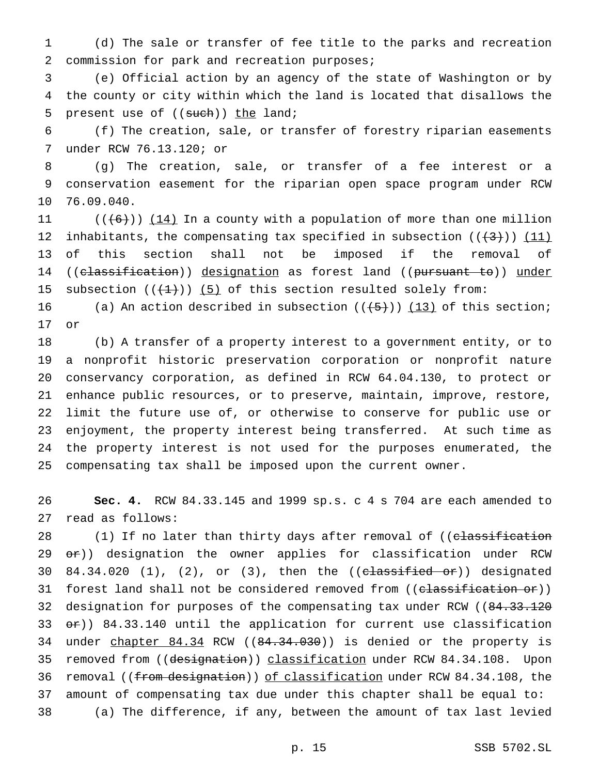(d) The sale or transfer of fee title to the parks and recreation commission for park and recreation purposes;

 (e) Official action by an agency of the state of Washington or by the county or city within which the land is located that disallows the 5 present use of  $((such))$  the land;

 (f) The creation, sale, or transfer of forestry riparian easements under RCW 76.13.120; or

 (g) The creation, sale, or transfer of a fee interest or a conservation easement for the riparian open space program under RCW 76.09.040.

 $((+6))$   $(14)$  In a county with a population of more than one million 12 inhabitants, the compensating tax specified in subsection  $((+3))$  (11) of this section shall not be imposed if the removal of 14 ((classification)) designation as forest land ((pursuant to)) under 15 subsection  $((+1))$  (5) of this section resulted solely from:

16 (a) An action described in subsection  $((+5))$  (13) of this section; or

 (b) A transfer of a property interest to a government entity, or to a nonprofit historic preservation corporation or nonprofit nature conservancy corporation, as defined in RCW 64.04.130, to protect or enhance public resources, or to preserve, maintain, improve, restore, limit the future use of, or otherwise to conserve for public use or enjoyment, the property interest being transferred. At such time as the property interest is not used for the purposes enumerated, the compensating tax shall be imposed upon the current owner.

 **Sec. 4.** RCW 84.33.145 and 1999 sp.s. c 4 s 704 are each amended to read as follows:

28 (1) If no later than thirty days after removal of ((c<del>lassification</del> 29 or)) designation the owner applies for classification under RCW 30 84.34.020 (1), (2), or (3), then the  $((e~~lassified or~~))$  designated 31 forest land shall not be considered removed from ((classification or)) 32 designation for purposes of the compensating tax under RCW ((84.33.120) 33  $er)$ ) 84.33.140 until the application for current use classification 34 under chapter 84.34 RCW ((84.34.030)) is denied or the property is 35 removed from ((designation)) classification under RCW 84.34.108. Upon 36 removal ((from designation)) of classification under RCW 84.34.108, the amount of compensating tax due under this chapter shall be equal to: (a) The difference, if any, between the amount of tax last levied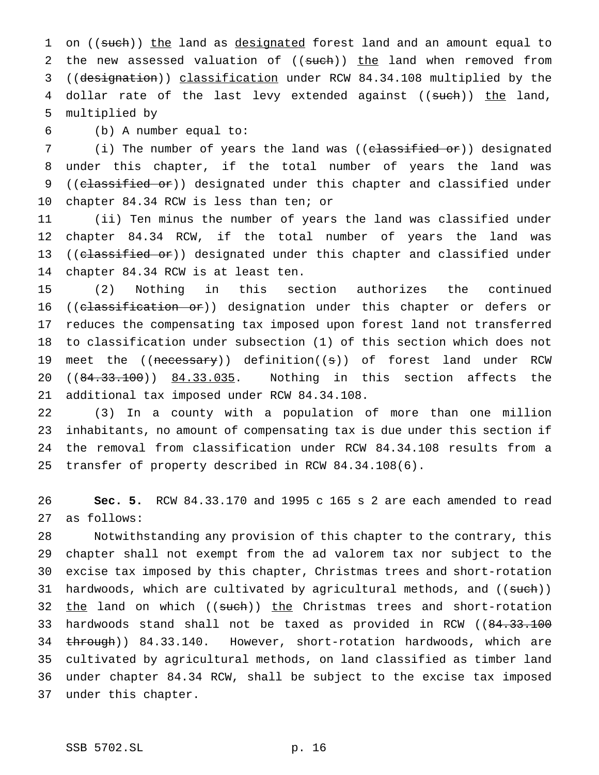1 on ((such)) the land as designated forest land and an amount equal to 2 the new assessed valuation of ((such)) the land when removed from ((designation)) classification under RCW 84.34.108 multiplied by the 4 dollar rate of the last levy extended against ((such)) the land, multiplied by

(b) A number equal to:

7 (i) The number of years the land was ((classified or)) designated under this chapter, if the total number of years the land was 9 ((classified or)) designated under this chapter and classified under chapter 84.34 RCW is less than ten; or

 (ii) Ten minus the number of years the land was classified under chapter 84.34 RCW, if the total number of years the land was 13 ((classified or)) designated under this chapter and classified under chapter 84.34 RCW is at least ten.

 (2) Nothing in this section authorizes the continued 16 ((classification or)) designation under this chapter or defers or reduces the compensating tax imposed upon forest land not transferred to classification under subsection (1) of this section which does not 19 meet the ((necessary)) definition((s)) of forest land under RCW 20 ((84.33.100)) 84.33.035. Nothing in this section affects the additional tax imposed under RCW 84.34.108.

 (3) In a county with a population of more than one million inhabitants, no amount of compensating tax is due under this section if the removal from classification under RCW 84.34.108 results from a transfer of property described in RCW 84.34.108(6).

 **Sec. 5.** RCW 84.33.170 and 1995 c 165 s 2 are each amended to read as follows:

 Notwithstanding any provision of this chapter to the contrary, this chapter shall not exempt from the ad valorem tax nor subject to the excise tax imposed by this chapter, Christmas trees and short-rotation 31 hardwoods, which are cultivated by agricultural methods, and ((sueh)) 32 the land on which ((such)) the Christmas trees and short-rotation 33 hardwoods stand shall not be taxed as provided in RCW ((84.33.100 34 through)) 84.33.140. However, short-rotation hardwoods, which are cultivated by agricultural methods, on land classified as timber land under chapter 84.34 RCW, shall be subject to the excise tax imposed under this chapter.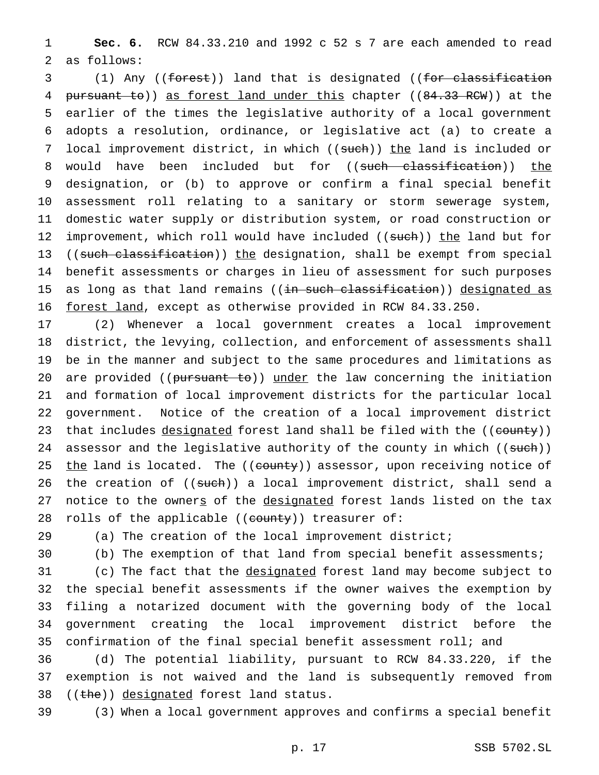1 **Sec. 6.** RCW 84.33.210 and 1992 c 52 s 7 are each amended to read 2 as follows:

3 (1) Any ((forest)) land that is designated ((for classification 4 pursuant to)) as forest land under this chapter ((84.33 RCW)) at the 5 earlier of the times the legislative authority of a local government 6 adopts a resolution, ordinance, or legislative act (a) to create a 7 local improvement district, in which ((such)) the land is included or 8 would have been included but for ((such classification)) the 9 designation, or (b) to approve or confirm a final special benefit 10 assessment roll relating to a sanitary or storm sewerage system, 11 domestic water supply or distribution system, or road construction or 12 improvement, which roll would have included ((such)) the land but for 13 ((such classification)) the designation, shall be exempt from special 14 benefit assessments or charges in lieu of assessment for such purposes 15 as long as that land remains ((in such classification)) designated as 16 forest land, except as otherwise provided in RCW 84.33.250.

17 (2) Whenever a local government creates a local improvement 18 district, the levying, collection, and enforcement of assessments shall 19 be in the manner and subject to the same procedures and limitations as 20 are provided ((pursuant to)) under the law concerning the initiation 21 and formation of local improvement districts for the particular local 22 government. Notice of the creation of a local improvement district 23 that includes designated forest land shall be filed with the ((county)) 24 assessor and the legislative authority of the county in which ((such)) 25 the land is located. The ((county)) assessor, upon receiving notice of 26 the creation of ((such)) a local improvement district, shall send a 27 notice to the owners of the designated forest lands listed on the tax 28 rolls of the applicable ((county)) treasurer of:

29 (a) The creation of the local improvement district;

30 (b) The exemption of that land from special benefit assessments;

31 (c) The fact that the designated forest land may become subject to the special benefit assessments if the owner waives the exemption by filing a notarized document with the governing body of the local government creating the local improvement district before the confirmation of the final special benefit assessment roll; and

36 (d) The potential liability, pursuant to RCW 84.33.220, if the 37 exemption is not waived and the land is subsequently removed from 38  $((the))$  designated forest land status.

39 (3) When a local government approves and confirms a special benefit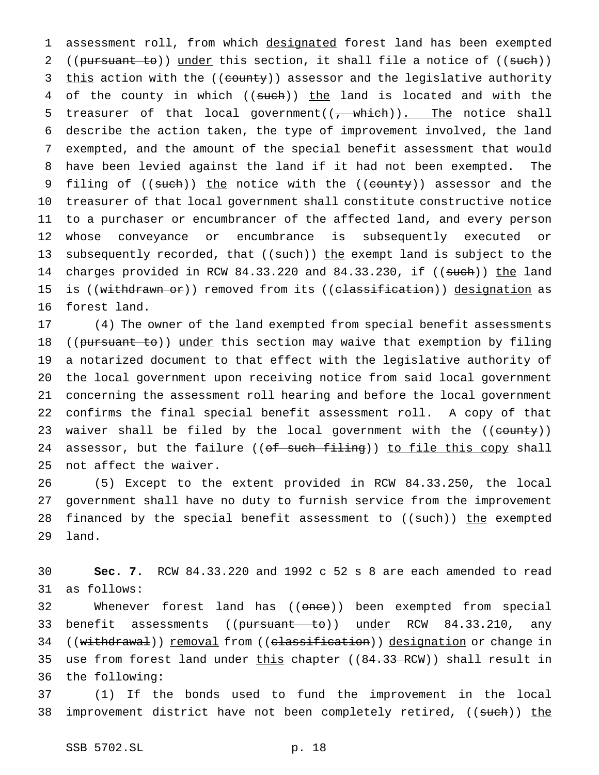1 assessment roll, from which designated forest land has been exempted 2 ((pursuant to)) under this section, it shall file a notice of ((such)) 3 this action with the ((county)) assessor and the legislative authority 4 of the county in which ((such)) the land is located and with the 5 treasurer of that local government( $(\frac{1}{f} - \text{which})$ ). The notice shall 6 describe the action taken, the type of improvement involved, the land 7 exempted, and the amount of the special benefit assessment that would 8 have been levied against the land if it had not been exempted. The 9 filing of ((such)) the notice with the ((county)) assessor and the 10 treasurer of that local government shall constitute constructive notice 11 to a purchaser or encumbrancer of the affected land, and every person 12 whose conveyance or encumbrance is subsequently executed or 13 subsequently recorded, that ((such)) the exempt land is subject to the 14 charges provided in RCW 84.33.220 and 84.33.230, if ((such)) the land 15 is ((withdrawn or)) removed from its ((classification)) designation as 16 forest land.

 (4) The owner of the land exempted from special benefit assessments 18 ((pursuant to)) under this section may waive that exemption by filing a notarized document to that effect with the legislative authority of the local government upon receiving notice from said local government concerning the assessment roll hearing and before the local government confirms the final special benefit assessment roll. A copy of that 23 waiver shall be filed by the local government with the ((county)) 24 assessor, but the failure ((of such filing)) to file this copy shall not affect the waiver.

26 (5) Except to the extent provided in RCW 84.33.250, the local 27 government shall have no duty to furnish service from the improvement 28 financed by the special benefit assessment to ((such)) the exempted 29 land.

30 **Sec. 7.** RCW 84.33.220 and 1992 c 52 s 8 are each amended to read 31 as follows:

32 Whenever forest land has ((once)) been exempted from special 33 benefit assessments ((pursuant to)) under RCW 84.33.210, any 34 ((withdrawal)) removal from ((classification)) designation or change in 35 use from forest land under this chapter ((84.33 RCW)) shall result in 36 the following:

37 (1) If the bonds used to fund the improvement in the local 38 improvement district have not been completely retired, ((such)) the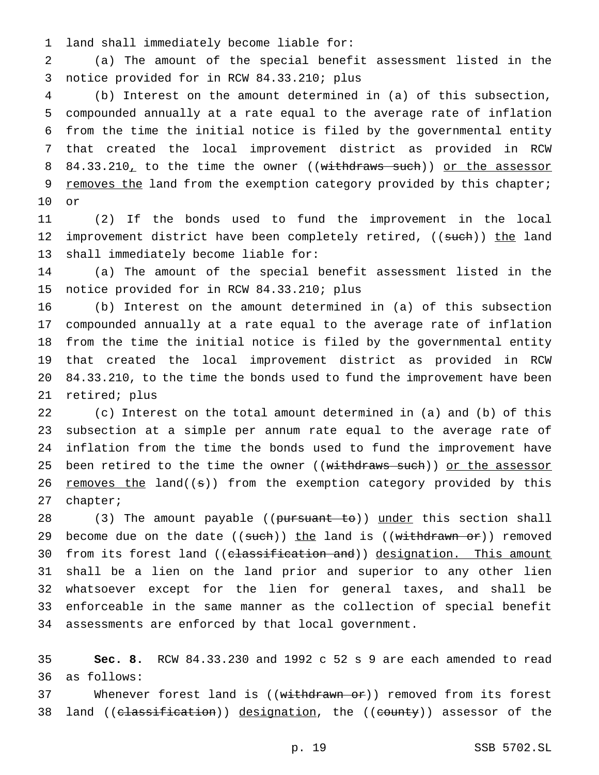land shall immediately become liable for:

 (a) The amount of the special benefit assessment listed in the notice provided for in RCW 84.33.210; plus

 (b) Interest on the amount determined in (a) of this subsection, compounded annually at a rate equal to the average rate of inflation from the time the initial notice is filed by the governmental entity that created the local improvement district as provided in RCW 8 84.33.210, to the time the owner ((withdraws such)) or the assessor 9 removes the land from the exemption category provided by this chapter; or

 (2) If the bonds used to fund the improvement in the local 12 improvement district have been completely retired, ((such)) the land shall immediately become liable for:

 (a) The amount of the special benefit assessment listed in the notice provided for in RCW 84.33.210; plus

 (b) Interest on the amount determined in (a) of this subsection compounded annually at a rate equal to the average rate of inflation from the time the initial notice is filed by the governmental entity that created the local improvement district as provided in RCW 84.33.210, to the time the bonds used to fund the improvement have been retired; plus

 (c) Interest on the total amount determined in (a) and (b) of this subsection at a simple per annum rate equal to the average rate of inflation from the time the bonds used to fund the improvement have 25 been retired to the time the owner ((withdraws such)) or the assessor 26 removes the land( $(s)$ ) from the exemption category provided by this chapter;

28 (3) The amount payable ((pursuant to)) under this section shall 29 become due on the date  $((such)$  the land is  $((with that  $10^{-10})$  removed$ 30 from its forest land ((classification and)) designation. This amount shall be a lien on the land prior and superior to any other lien whatsoever except for the lien for general taxes, and shall be enforceable in the same manner as the collection of special benefit assessments are enforced by that local government.

 **Sec. 8.** RCW 84.33.230 and 1992 c 52 s 9 are each amended to read as follows:

37 Whenever forest land is ((withdrawn or)) removed from its forest 38 land ((classification)) designation, the ((county)) assessor of the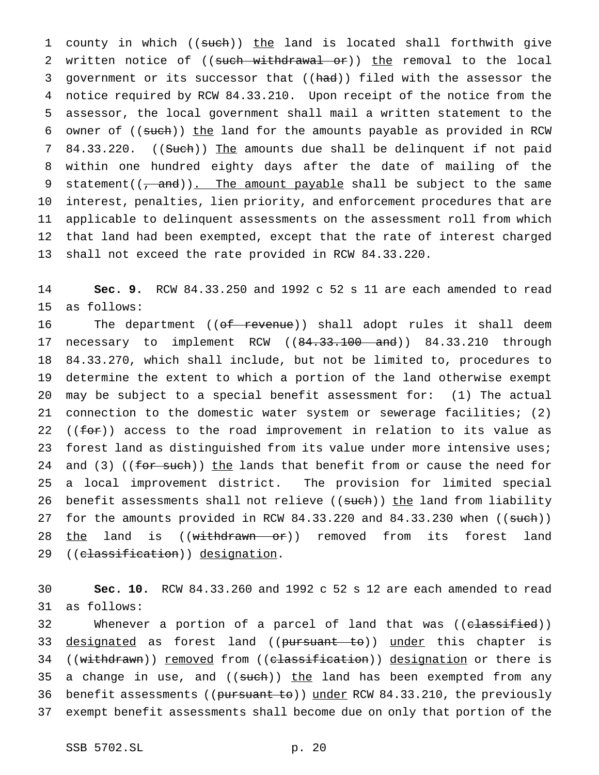1 county in which ((such)) the land is located shall forthwith give 2 written notice of ((such withdrawal or)) the removal to the local 3 government or its successor that ((had)) filed with the assessor the 4 notice required by RCW 84.33.210. Upon receipt of the notice from the 5 assessor, the local government shall mail a written statement to the 6 owner of ((such)) the land for the amounts payable as provided in RCW 7 84.33.220. ((Such)) The amounts due shall be delinquent if not paid 8 within one hundred eighty days after the date of mailing of the 9 statement( $(\frac{1}{2}, \frac{1}{2})$ . The amount payable shall be subject to the same 10 interest, penalties, lien priority, and enforcement procedures that are 11 applicable to delinquent assessments on the assessment roll from which 12 that land had been exempted, except that the rate of interest charged 13 shall not exceed the rate provided in RCW 84.33.220.

14 **Sec. 9.** RCW 84.33.250 and 1992 c 52 s 11 are each amended to read 15 as follows:

16 The department ((<del>of revenue</del>)) shall adopt rules it shall deem 17 necessary to implement RCW ((84.33.100 and)) 84.33.210 through 18 84.33.270, which shall include, but not be limited to, procedures to 19 determine the extent to which a portion of the land otherwise exempt 20 may be subject to a special benefit assessment for: (1) The actual 21 connection to the domestic water system or sewerage facilities; (2) 22 ( $(for)$ ) access to the road improvement in relation to its value as 23 forest land as distinguished from its value under more intensive uses; 24 and (3) (( $f$ or such)) the lands that benefit from or cause the need for 25 a local improvement district. The provision for limited special 26 benefit assessments shall not relieve ((such)) the land from liability 27 for the amounts provided in RCW 84.33.220 and 84.33.230 when ((such)) 28 the land is ((withdrawn or)) removed from its forest land 29 ((classification)) designation.

30 **Sec. 10.** RCW 84.33.260 and 1992 c 52 s 12 are each amended to read 31 as follows:

32 Whenever a portion of a parcel of land that was ((c<del>lassified</del>)) 33 designated as forest land ((pursuant to)) under this chapter is 34 ((withdrawn)) removed from ((classification)) designation or there is 35 a change in use, and ((such)) the land has been exempted from any 36 benefit assessments ((pursuant to)) under RCW 84.33.210, the previously 37 exempt benefit assessments shall become due on only that portion of the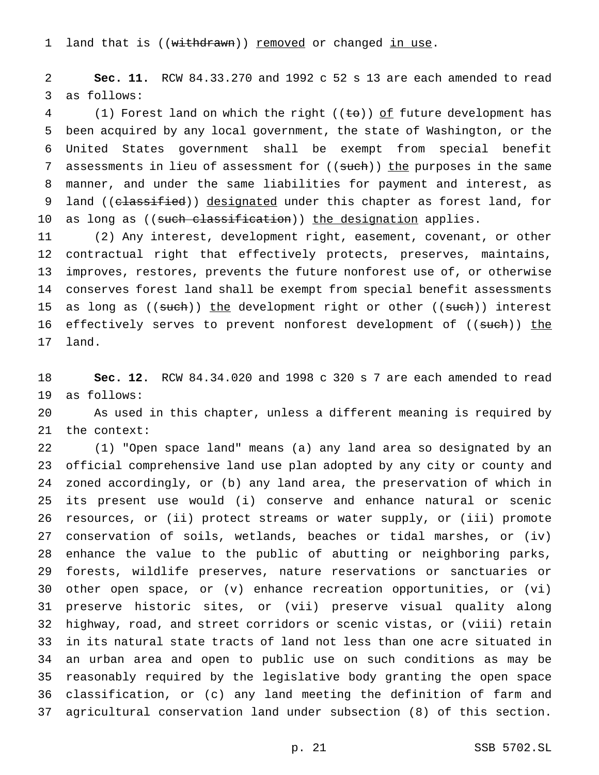1 land that is ((withdrawn)) removed or changed in use.

 **Sec. 11.** RCW 84.33.270 and 1992 c 52 s 13 are each amended to read as follows:

4 (1) Forest land on which the right ( $(\pm \sigma)$ ) of future development has been acquired by any local government, the state of Washington, or the United States government shall be exempt from special benefit 7 assessments in lieu of assessment for ((such)) the purposes in the same manner, and under the same liabilities for payment and interest, as 9 land (( $e$ lassified)) designated under this chapter as forest land, for 10 as long as ((such classification)) the designation applies.

 (2) Any interest, development right, easement, covenant, or other contractual right that effectively protects, preserves, maintains, improves, restores, prevents the future nonforest use of, or otherwise conserves forest land shall be exempt from special benefit assessments 15 as long as ((such)) the development right or other ((such)) interest 16 effectively serves to prevent nonforest development of ((such)) the land.

 **Sec. 12.** RCW 84.34.020 and 1998 c 320 s 7 are each amended to read as follows:

 As used in this chapter, unless a different meaning is required by the context:

 (1) "Open space land" means (a) any land area so designated by an official comprehensive land use plan adopted by any city or county and zoned accordingly, or (b) any land area, the preservation of which in its present use would (i) conserve and enhance natural or scenic resources, or (ii) protect streams or water supply, or (iii) promote conservation of soils, wetlands, beaches or tidal marshes, or (iv) enhance the value to the public of abutting or neighboring parks, forests, wildlife preserves, nature reservations or sanctuaries or other open space, or (v) enhance recreation opportunities, or (vi) preserve historic sites, or (vii) preserve visual quality along highway, road, and street corridors or scenic vistas, or (viii) retain in its natural state tracts of land not less than one acre situated in an urban area and open to public use on such conditions as may be reasonably required by the legislative body granting the open space classification, or (c) any land meeting the definition of farm and agricultural conservation land under subsection (8) of this section.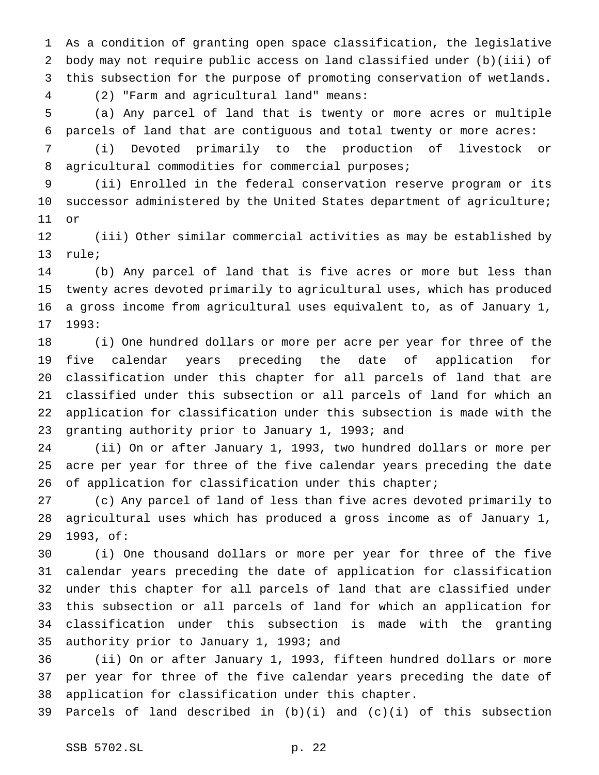As a condition of granting open space classification, the legislative body may not require public access on land classified under (b)(iii) of this subsection for the purpose of promoting conservation of wetlands. (2) "Farm and agricultural land" means:

 (a) Any parcel of land that is twenty or more acres or multiple parcels of land that are contiguous and total twenty or more acres:

 (i) Devoted primarily to the production of livestock or 8 agricultural commodities for commercial purposes;

 (ii) Enrolled in the federal conservation reserve program or its successor administered by the United States department of agriculture; or

 (iii) Other similar commercial activities as may be established by rule;

 (b) Any parcel of land that is five acres or more but less than twenty acres devoted primarily to agricultural uses, which has produced a gross income from agricultural uses equivalent to, as of January 1, 1993:

 (i) One hundred dollars or more per acre per year for three of the five calendar years preceding the date of application for classification under this chapter for all parcels of land that are classified under this subsection or all parcels of land for which an application for classification under this subsection is made with the granting authority prior to January 1, 1993; and

 (ii) On or after January 1, 1993, two hundred dollars or more per acre per year for three of the five calendar years preceding the date 26 of application for classification under this chapter;

 (c) Any parcel of land of less than five acres devoted primarily to agricultural uses which has produced a gross income as of January 1, 1993, of:

 (i) One thousand dollars or more per year for three of the five calendar years preceding the date of application for classification under this chapter for all parcels of land that are classified under this subsection or all parcels of land for which an application for classification under this subsection is made with the granting authority prior to January 1, 1993; and

 (ii) On or after January 1, 1993, fifteen hundred dollars or more per year for three of the five calendar years preceding the date of application for classification under this chapter.

Parcels of land described in (b)(i) and (c)(i) of this subsection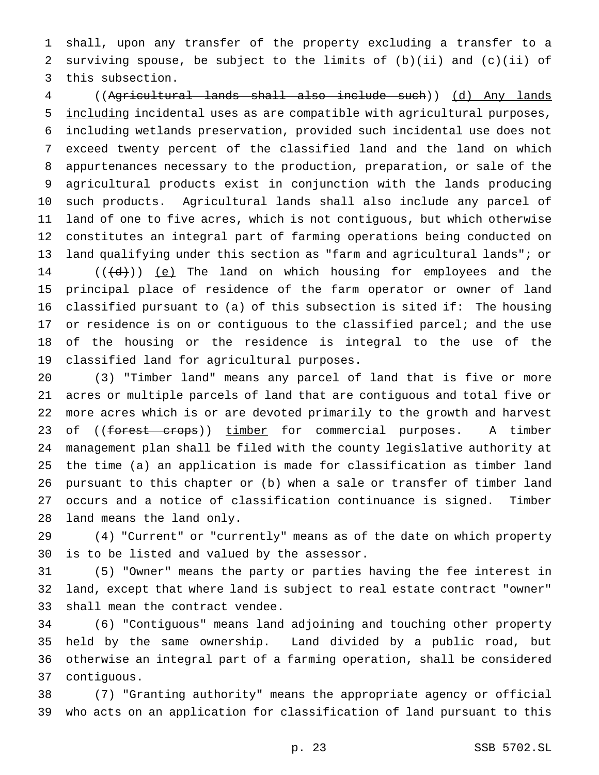shall, upon any transfer of the property excluding a transfer to a surviving spouse, be subject to the limits of (b)(ii) and (c)(ii) of this subsection.

 ((Agricultural lands shall also include such)) (d) Any lands including incidental uses as are compatible with agricultural purposes, including wetlands preservation, provided such incidental use does not exceed twenty percent of the classified land and the land on which appurtenances necessary to the production, preparation, or sale of the agricultural products exist in conjunction with the lands producing such products. Agricultural lands shall also include any parcel of land of one to five acres, which is not contiguous, but which otherwise constitutes an integral part of farming operations being conducted on land qualifying under this section as "farm and agricultural lands"; or  $((\{d\})$   $(e)$  The land on which housing for employees and the principal place of residence of the farm operator or owner of land classified pursuant to (a) of this subsection is sited if: The housing 17 or residence is on or contiguous to the classified parcel; and the use of the housing or the residence is integral to the use of the classified land for agricultural purposes.

 (3) "Timber land" means any parcel of land that is five or more acres or multiple parcels of land that are contiguous and total five or more acres which is or are devoted primarily to the growth and harvest 23 of ((forest crops)) timber for commercial purposes. A timber management plan shall be filed with the county legislative authority at the time (a) an application is made for classification as timber land pursuant to this chapter or (b) when a sale or transfer of timber land occurs and a notice of classification continuance is signed. Timber land means the land only.

 (4) "Current" or "currently" means as of the date on which property is to be listed and valued by the assessor.

 (5) "Owner" means the party or parties having the fee interest in land, except that where land is subject to real estate contract "owner" shall mean the contract vendee.

 (6) "Contiguous" means land adjoining and touching other property held by the same ownership. Land divided by a public road, but otherwise an integral part of a farming operation, shall be considered contiguous.

 (7) "Granting authority" means the appropriate agency or official who acts on an application for classification of land pursuant to this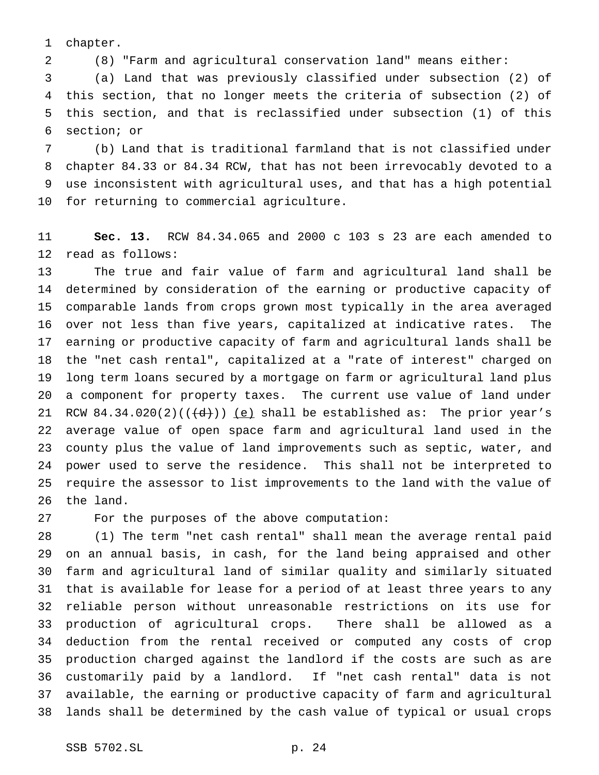chapter.

(8) "Farm and agricultural conservation land" means either:

 (a) Land that was previously classified under subsection (2) of this section, that no longer meets the criteria of subsection (2) of this section, and that is reclassified under subsection (1) of this section; or

 (b) Land that is traditional farmland that is not classified under chapter 84.33 or 84.34 RCW, that has not been irrevocably devoted to a use inconsistent with agricultural uses, and that has a high potential for returning to commercial agriculture.

 **Sec. 13.** RCW 84.34.065 and 2000 c 103 s 23 are each amended to read as follows:

 The true and fair value of farm and agricultural land shall be determined by consideration of the earning or productive capacity of comparable lands from crops grown most typically in the area averaged over not less than five years, capitalized at indicative rates. The earning or productive capacity of farm and agricultural lands shall be the "net cash rental", capitalized at a "rate of interest" charged on long term loans secured by a mortgage on farm or agricultural land plus a component for property taxes. The current use value of land under 21 RCW 84.34.020(2)( $(\overline{d})$ ) <u>(e)</u> shall be established as: The prior year's average value of open space farm and agricultural land used in the county plus the value of land improvements such as septic, water, and power used to serve the residence. This shall not be interpreted to require the assessor to list improvements to the land with the value of the land.

For the purposes of the above computation:

 (1) The term "net cash rental" shall mean the average rental paid on an annual basis, in cash, for the land being appraised and other farm and agricultural land of similar quality and similarly situated that is available for lease for a period of at least three years to any reliable person without unreasonable restrictions on its use for production of agricultural crops. There shall be allowed as a deduction from the rental received or computed any costs of crop production charged against the landlord if the costs are such as are customarily paid by a landlord. If "net cash rental" data is not available, the earning or productive capacity of farm and agricultural lands shall be determined by the cash value of typical or usual crops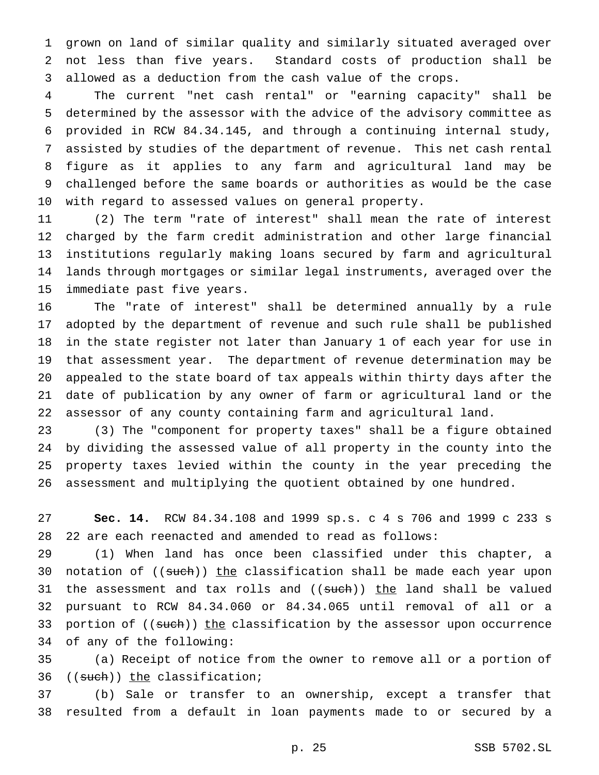grown on land of similar quality and similarly situated averaged over not less than five years. Standard costs of production shall be allowed as a deduction from the cash value of the crops.

 The current "net cash rental" or "earning capacity" shall be determined by the assessor with the advice of the advisory committee as provided in RCW 84.34.145, and through a continuing internal study, assisted by studies of the department of revenue. This net cash rental figure as it applies to any farm and agricultural land may be challenged before the same boards or authorities as would be the case with regard to assessed values on general property.

 (2) The term "rate of interest" shall mean the rate of interest charged by the farm credit administration and other large financial institutions regularly making loans secured by farm and agricultural lands through mortgages or similar legal instruments, averaged over the immediate past five years.

 The "rate of interest" shall be determined annually by a rule adopted by the department of revenue and such rule shall be published in the state register not later than January 1 of each year for use in that assessment year. The department of revenue determination may be appealed to the state board of tax appeals within thirty days after the date of publication by any owner of farm or agricultural land or the assessor of any county containing farm and agricultural land.

 (3) The "component for property taxes" shall be a figure obtained by dividing the assessed value of all property in the county into the property taxes levied within the county in the year preceding the assessment and multiplying the quotient obtained by one hundred.

 **Sec. 14.** RCW 84.34.108 and 1999 sp.s. c 4 s 706 and 1999 c 233 s 22 are each reenacted and amended to read as follows:

 (1) When land has once been classified under this chapter, a 30 notation of ((such)) the classification shall be made each year upon 31 the assessment and tax rolls and ((such)) the land shall be valued pursuant to RCW 84.34.060 or 84.34.065 until removal of all or a 33 portion of ((such)) the classification by the assessor upon occurrence of any of the following:

 (a) Receipt of notice from the owner to remove all or a portion of 36 ((such)) the classification;

 (b) Sale or transfer to an ownership, except a transfer that resulted from a default in loan payments made to or secured by a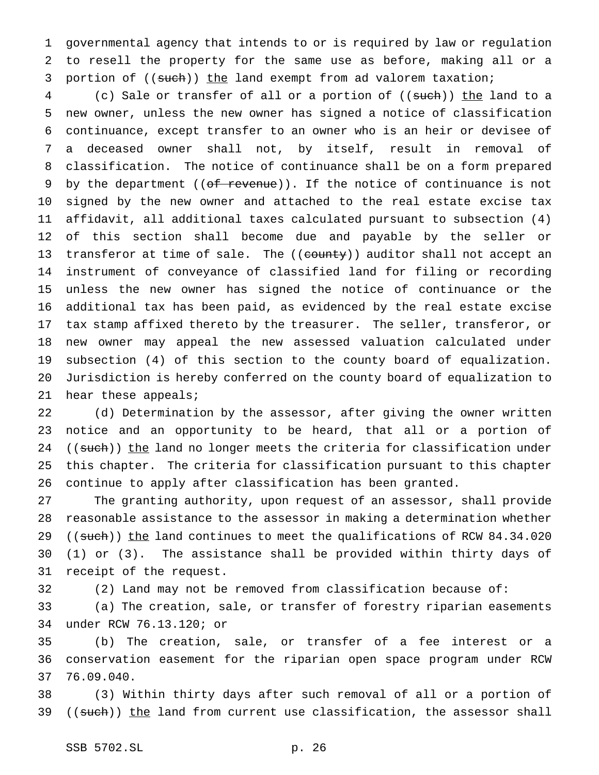governmental agency that intends to or is required by law or regulation to resell the property for the same use as before, making all or a 3 portion of ((such)) the land exempt from ad valorem taxation;

4 (c) Sale or transfer of all or a portion of ((such)) the land to a new owner, unless the new owner has signed a notice of classification continuance, except transfer to an owner who is an heir or devisee of a deceased owner shall not, by itself, result in removal of classification. The notice of continuance shall be on a form prepared 9 by the department ((of revenue)). If the notice of continuance is not signed by the new owner and attached to the real estate excise tax affidavit, all additional taxes calculated pursuant to subsection (4) of this section shall become due and payable by the seller or 13 transferor at time of sale. The ((county)) auditor shall not accept an instrument of conveyance of classified land for filing or recording unless the new owner has signed the notice of continuance or the additional tax has been paid, as evidenced by the real estate excise tax stamp affixed thereto by the treasurer. The seller, transferor, or new owner may appeal the new assessed valuation calculated under subsection (4) of this section to the county board of equalization. Jurisdiction is hereby conferred on the county board of equalization to hear these appeals;

 (d) Determination by the assessor, after giving the owner written notice and an opportunity to be heard, that all or a portion of 24 ((such)) the land no longer meets the criteria for classification under this chapter. The criteria for classification pursuant to this chapter continue to apply after classification has been granted.

 The granting authority, upon request of an assessor, shall provide reasonable assistance to the assessor in making a determination whether 29 ((such)) the land continues to meet the qualifications of RCW 84.34.020 (1) or (3). The assistance shall be provided within thirty days of receipt of the request.

(2) Land may not be removed from classification because of:

 (a) The creation, sale, or transfer of forestry riparian easements under RCW 76.13.120; or

 (b) The creation, sale, or transfer of a fee interest or a conservation easement for the riparian open space program under RCW 76.09.040.

 (3) Within thirty days after such removal of all or a portion of 39 ((such)) the land from current use classification, the assessor shall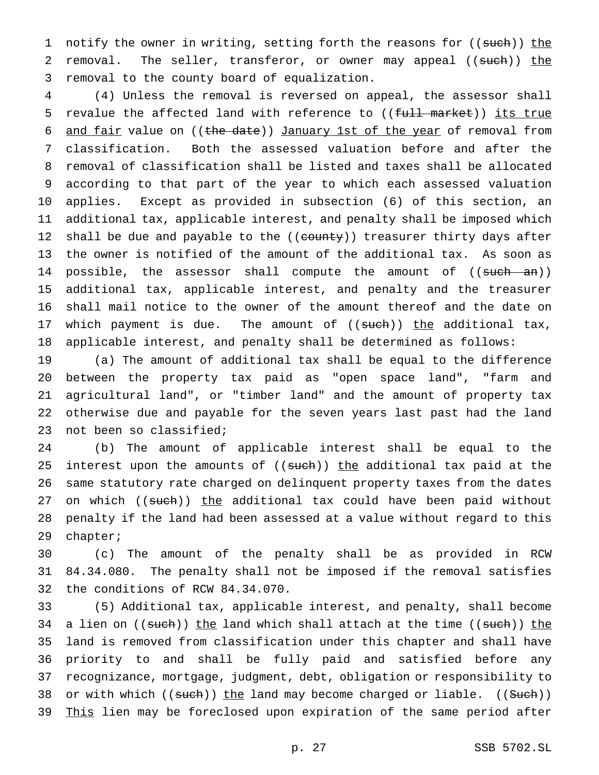1 notify the owner in writing, setting forth the reasons for ((such)) the 2 removal. The seller, transferor, or owner may appeal ((such)) the removal to the county board of equalization.

 (4) Unless the removal is reversed on appeal, the assessor shall 5 revalue the affected land with reference to ((full market)) its true 6 and fair value on ((the date)) January 1st of the year of removal from classification. Both the assessed valuation before and after the removal of classification shall be listed and taxes shall be allocated according to that part of the year to which each assessed valuation applies. Except as provided in subsection (6) of this section, an additional tax, applicable interest, and penalty shall be imposed which 12 shall be due and payable to the ((county)) treasurer thirty days after the owner is notified of the amount of the additional tax. As soon as 14 possible, the assessor shall compute the amount of ((such an)) additional tax, applicable interest, and penalty and the treasurer shall mail notice to the owner of the amount thereof and the date on 17 which payment is due. The amount of  $((\text{such}))$  the additional tax, applicable interest, and penalty shall be determined as follows:

 (a) The amount of additional tax shall be equal to the difference between the property tax paid as "open space land", "farm and agricultural land", or "timber land" and the amount of property tax otherwise due and payable for the seven years last past had the land not been so classified;

 (b) The amount of applicable interest shall be equal to the 25 interest upon the amounts of ((such)) the additional tax paid at the same statutory rate charged on delinquent property taxes from the dates 27 on which ((such)) the additional tax could have been paid without penalty if the land had been assessed at a value without regard to this chapter;

 (c) The amount of the penalty shall be as provided in RCW 84.34.080. The penalty shall not be imposed if the removal satisfies the conditions of RCW 84.34.070.

 (5) Additional tax, applicable interest, and penalty, shall become 34 a lien on ((such)) the land which shall attach at the time ((such)) the land is removed from classification under this chapter and shall have priority to and shall be fully paid and satisfied before any recognizance, mortgage, judgment, debt, obligation or responsibility to 38 or with which ((such)) the land may become charged or liable. ((Such)) 39 This lien may be foreclosed upon expiration of the same period after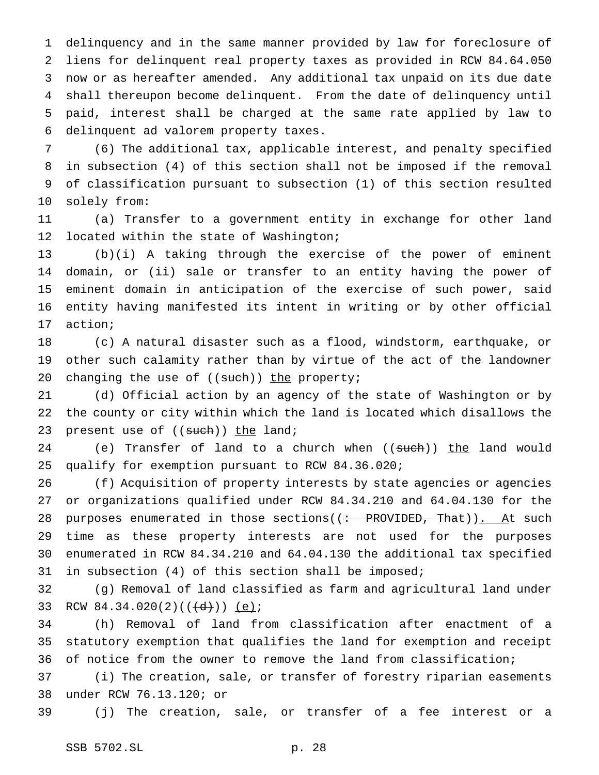delinquency and in the same manner provided by law for foreclosure of liens for delinquent real property taxes as provided in RCW 84.64.050 now or as hereafter amended. Any additional tax unpaid on its due date shall thereupon become delinquent. From the date of delinquency until paid, interest shall be charged at the same rate applied by law to delinquent ad valorem property taxes.

 (6) The additional tax, applicable interest, and penalty specified in subsection (4) of this section shall not be imposed if the removal of classification pursuant to subsection (1) of this section resulted solely from:

 (a) Transfer to a government entity in exchange for other land 12 located within the state of Washington;

 (b)(i) A taking through the exercise of the power of eminent domain, or (ii) sale or transfer to an entity having the power of eminent domain in anticipation of the exercise of such power, said entity having manifested its intent in writing or by other official action;

 (c) A natural disaster such as a flood, windstorm, earthquake, or other such calamity rather than by virtue of the act of the landowner 20 changing the use of ((such)) the property;

 (d) Official action by an agency of the state of Washington or by the county or city within which the land is located which disallows the 23 present use of ((such)) the land;

24 (e) Transfer of land to a church when ((such)) the land would qualify for exemption pursuant to RCW 84.36.020;

 (f) Acquisition of property interests by state agencies or agencies or organizations qualified under RCW 84.34.210 and 64.04.130 for the 28 purposes enumerated in those sections( $($  : PROVIDED, That)). At such time as these property interests are not used for the purposes enumerated in RCW 84.34.210 and 64.04.130 the additional tax specified in subsection (4) of this section shall be imposed;

 (g) Removal of land classified as farm and agricultural land under 33 RCW 84.34.020(2)( $(\overline{(d)}})$ ) (e);

 (h) Removal of land from classification after enactment of a statutory exemption that qualifies the land for exemption and receipt of notice from the owner to remove the land from classification;

 (i) The creation, sale, or transfer of forestry riparian easements under RCW 76.13.120; or

(j) The creation, sale, or transfer of a fee interest or a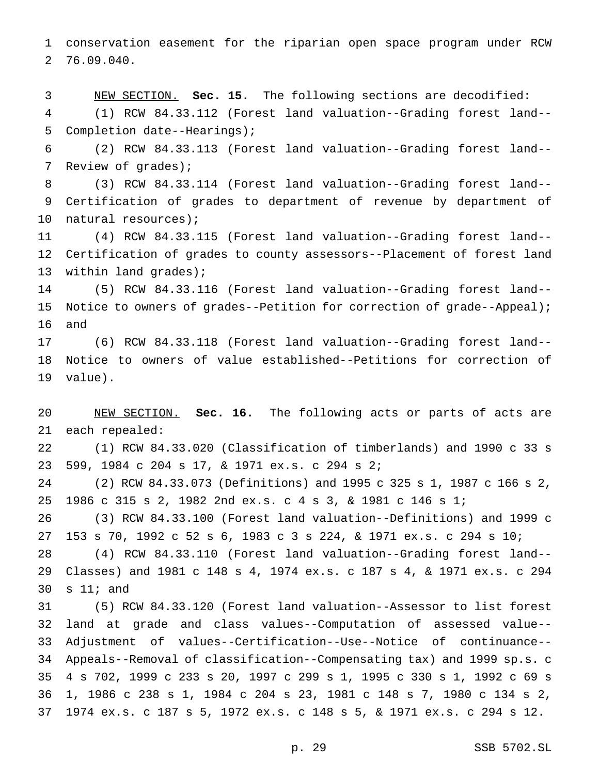conservation easement for the riparian open space program under RCW 76.09.040.

 NEW SECTION. **Sec. 15.** The following sections are decodified: (1) RCW 84.33.112 (Forest land valuation--Grading forest land-- Completion date--Hearings);

 (2) RCW 84.33.113 (Forest land valuation--Grading forest land-- Review of grades);

 (3) RCW 84.33.114 (Forest land valuation--Grading forest land-- Certification of grades to department of revenue by department of natural resources);

 (4) RCW 84.33.115 (Forest land valuation--Grading forest land-- Certification of grades to county assessors--Placement of forest land within land grades);

 (5) RCW 84.33.116 (Forest land valuation--Grading forest land-- Notice to owners of grades--Petition for correction of grade--Appeal); and

 (6) RCW 84.33.118 (Forest land valuation--Grading forest land-- Notice to owners of value established--Petitions for correction of value).

 NEW SECTION. **Sec. 16.** The following acts or parts of acts are each repealed:

 (1) RCW 84.33.020 (Classification of timberlands) and 1990 c 33 s 599, 1984 c 204 s 17, & 1971 ex.s. c 294 s 2;

 (2) RCW 84.33.073 (Definitions) and 1995 c 325 s 1, 1987 c 166 s 2, 1986 c 315 s 2, 1982 2nd ex.s. c 4 s 3, & 1981 c 146 s 1;

 (3) RCW 84.33.100 (Forest land valuation--Definitions) and 1999 c 153 s 70, 1992 c 52 s 6, 1983 c 3 s 224, & 1971 ex.s. c 294 s 10;

 (4) RCW 84.33.110 (Forest land valuation--Grading forest land-- Classes) and 1981 c 148 s 4, 1974 ex.s. c 187 s 4, & 1971 ex.s. c 294 s 11; and

 (5) RCW 84.33.120 (Forest land valuation--Assessor to list forest land at grade and class values--Computation of assessed value-- Adjustment of values--Certification--Use--Notice of continuance-- Appeals--Removal of classification--Compensating tax) and 1999 sp.s. c 4 s 702, 1999 c 233 s 20, 1997 c 299 s 1, 1995 c 330 s 1, 1992 c 69 s 1, 1986 c 238 s 1, 1984 c 204 s 23, 1981 c 148 s 7, 1980 c 134 s 2, 1974 ex.s. c 187 s 5, 1972 ex.s. c 148 s 5, & 1971 ex.s. c 294 s 12.